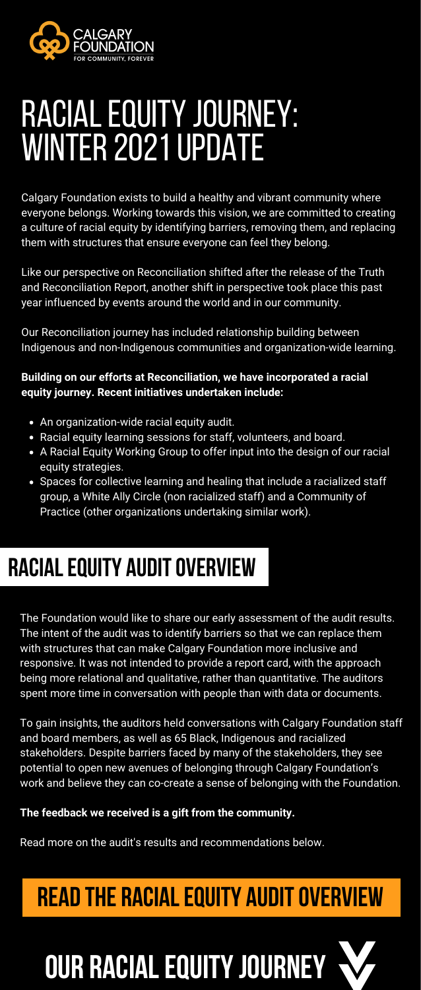

# RACIAL EQUITY JOURNEY: WINTER 2021 UPDATE

- An organization-wide racial equity audit.
- Racial equity learning sessions for staff, volunteers, and board.
- A Racial Equity Working Group to offer input into the design of our racial equity strategies.
- Spaces for collective learning and healing that include a racialized staff group, a White Ally Circle (non racialized staff) and a Community of Practice (other organizations undertaking similar work).

## **RACIAL EQUITY AUDIT OVERVIEW**

Calgary Foundation exists to build a healthy and vibrant community where everyone belongs. Working towards this vision, we are committed to creating a culture of racial equity by identifying barriers, removing them, and replacing them with structures that ensure everyone can feel they belong.

Like our perspective on Reconciliation shifted after the release of the Truth and Reconciliation Report, another shift in perspective took place this past year influenced by events around the world and in our community.

Our Reconciliation journey has included relationship building between Indigenous and non-Indigenous communities and organization-wide learning.

### **Building on our efforts at Reconciliation, we have incorporated a racial equity journey. Recent initiatives undertaken include:**

# **OUR RACIALEQUITYJOURNEY**

The Foundation would like to share our early assessment of the audit results. The intent of the audit was to identify barriers so that we can replace them with structures that can make Calgary Foundation more inclusive and responsive. It was not intended to provide a report card, with the approach being more relational and qualitative, rather than quantitative. The auditors spent more time in conversation with people than with data or documents.

To gain insights, the auditors held conversations with Calgary Foundation staff and board members, as well as 65 Black, Indigenous and racialized stakeholders. Despite barriers faced by many of the stakeholders, they see potential to open new avenues of belonging through Calgary Foundation's work and believe they can co-create a sense of belonging with the Foundation.

### **The feedback we received is a gift from the community.**

Read more on the audit's results and recommendations below.

## **READ THE RACIAL EQUITY AUDIT OVERVIEW**